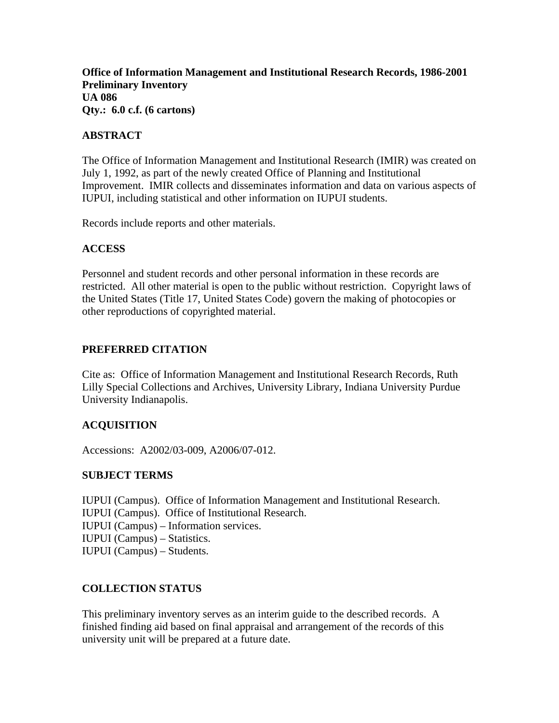**Office of Information Management and Institutional Research Records, 1986-2001 Preliminary Inventory UA 086 Qty.: 6.0 c.f. (6 cartons)** 

## **ABSTRACT**

The Office of Information Management and Institutional Research (IMIR) was created on July 1, 1992, as part of the newly created Office of Planning and Institutional Improvement. IMIR collects and disseminates information and data on various aspects of IUPUI, including statistical and other information on IUPUI students.

Records include reports and other materials.

### **ACCESS**

Personnel and student records and other personal information in these records are restricted. All other material is open to the public without restriction. Copyright laws of the United States (Title 17, United States Code) govern the making of photocopies or other reproductions of copyrighted material.

## **PREFERRED CITATION**

Cite as: Office of Information Management and Institutional Research Records, Ruth Lilly Special Collections and Archives, University Library, Indiana University Purdue University Indianapolis.

# **ACQUISITION**

Accessions: A2002/03-009, A2006/07-012.

### **SUBJECT TERMS**

IUPUI (Campus). Office of Information Management and Institutional Research. IUPUI (Campus). Office of Institutional Research. IUPUI (Campus) – Information services. IUPUI (Campus) – Statistics. IUPUI (Campus) – Students.

### **COLLECTION STATUS**

This preliminary inventory serves as an interim guide to the described records. A finished finding aid based on final appraisal and arrangement of the records of this university unit will be prepared at a future date.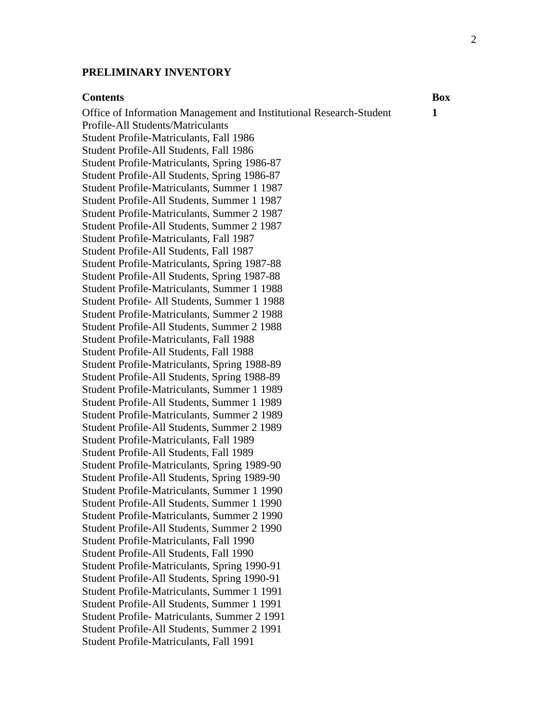#### **PRELIMINARY INVENTORY**

#### **Contents** Box

Office of Information Management and Institutional Research-Student Profile-All Students/Matriculants Student Profile-Matriculants, Fall 1986 Student Profile-All Students, Fall 1986 Student Profile-Matriculants, Spring 1986-87 Student Profile-All Students, Spring 1986-87 Student Profile-Matriculants, Summer 1 1987 Student Profile-All Students, Summer 1 1987 Student Profile-Matriculants, Summer 2 1987 Student Profile-All Students, Summer 2 1987 Student Profile-Matriculants, Fall 1987 Student Profile-All Students, Fall 1987 Student Profile-Matriculants, Spring 1987-88 Student Profile-All Students, Spring 1987-88 Student Profile-Matriculants, Summer 1 1988 Student Profile- All Students, Summer 1 1988 Student Profile-Matriculants, Summer 2 1988 Student Profile-All Students, Summer 2 1988 Student Profile-Matriculants, Fall 1988 Student Profile-All Students, Fall 1988 Student Profile-Matriculants, Spring 1988-89 Student Profile-All Students, Spring 1988-89 Student Profile-Matriculants, Summer 1 1989 Student Profile-All Students, Summer 1 1989 Student Profile-Matriculants, Summer 2 1989 Student Profile-All Students, Summer 2 1989 Student Profile-Matriculants, Fall 1989 Student Profile-All Students, Fall 1989 Student Profile-Matriculants, Spring 1989-90 Student Profile-All Students, Spring 1989-90 Student Profile-Matriculants, Summer 1 1990 Student Profile-All Students, Summer 1 1990 Student Profile-Matriculants, Summer 2 1990 Student Profile-All Students, Summer 2 1990 Student Profile-Matriculants, Fall 1990 Student Profile-All Students, Fall 1990 Student Profile-Matriculants, Spring 1990-91 Student Profile-All Students, Spring 1990-91 Student Profile-Matriculants, Summer 1 1991 Student Profile-All Students, Summer 1 1991 Student Profile- Matriculants, Summer 2 1991 Student Profile-All Students, Summer 2 1991 Student Profile-Matriculants, Fall 1991

**1**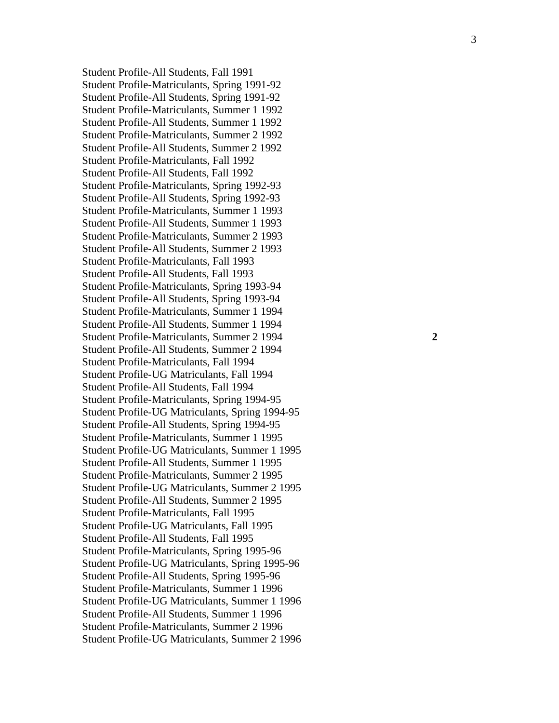Student Profile-All Students, Fall 1991 Student Profile-Matriculants, Spring 1991-92 Student Profile-All Students, Spring 1991-92 Student Profile-Matriculants, Summer 1 1992 Student Profile-All Students, Summer 1 1992 Student Profile-Matriculants, Summer 2 1992 Student Profile-All Students, Summer 2 1992 Student Profile-Matriculants, Fall 1992 Student Profile-All Students, Fall 1992 Student Profile-Matriculants, Spring 1992-93 Student Profile-All Students, Spring 1992-93 Student Profile-Matriculants, Summer 1 1993 Student Profile-All Students, Summer 1 1993 Student Profile-Matriculants, Summer 2 1993 Student Profile-All Students, Summer 2 1993 Student Profile-Matriculants, Fall 1993 Student Profile-All Students, Fall 1993 Student Profile-Matriculants, Spring 1993-94 Student Profile-All Students, Spring 1993-94 Student Profile-Matriculants, Summer 1 1994 Student Profile-All Students, Summer 1 1994 Student Profile-Matriculants, Summer 2 1994 **2**  Student Profile-All Students, Summer 2 1994 Student Profile-Matriculants, Fall 1994 Student Profile-UG Matriculants, Fall 1994 Student Profile-All Students, Fall 1994 Student Profile-Matriculants, Spring 1994-95 Student Profile-UG Matriculants, Spring 1994-95 Student Profile-All Students, Spring 1994-95 Student Profile-Matriculants, Summer 1 1995 Student Profile-UG Matriculants, Summer 1 1995 Student Profile-All Students, Summer 1 1995 Student Profile-Matriculants, Summer 2 1995 Student Profile-UG Matriculants, Summer 2 1995 Student Profile-All Students, Summer 2 1995 Student Profile-Matriculants, Fall 1995 Student Profile-UG Matriculants, Fall 1995 Student Profile-All Students, Fall 1995 Student Profile-Matriculants, Spring 1995-96 Student Profile-UG Matriculants, Spring 1995-96 Student Profile-All Students, Spring 1995-96 Student Profile-Matriculants, Summer 1 1996 Student Profile-UG Matriculants, Summer 1 1996 Student Profile-All Students, Summer 1 1996 Student Profile-Matriculants, Summer 2 1996 Student Profile-UG Matriculants, Summer 2 1996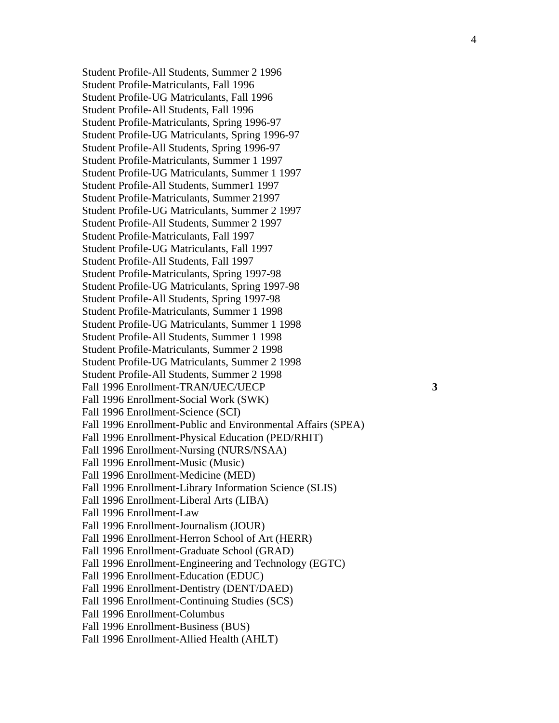Student Profile-All Students, Summer 2 1996 Student Profile-Matriculants, Fall 1996 Student Profile-UG Matriculants, Fall 1996 Student Profile-All Students, Fall 1996 Student Profile-Matriculants, Spring 1996-97 Student Profile-UG Matriculants, Spring 1996-97 Student Profile-All Students, Spring 1996-97 Student Profile-Matriculants, Summer 1 1997 Student Profile-UG Matriculants, Summer 1 1997 Student Profile-All Students, Summer1 1997 Student Profile-Matriculants, Summer 21997 Student Profile-UG Matriculants, Summer 2 1997 Student Profile-All Students, Summer 2 1997 Student Profile-Matriculants, Fall 1997 Student Profile-UG Matriculants, Fall 1997 Student Profile-All Students, Fall 1997 Student Profile-Matriculants, Spring 1997-98 Student Profile-UG Matriculants, Spring 1997-98 Student Profile-All Students, Spring 1997-98 Student Profile-Matriculants, Summer 1 1998 Student Profile-UG Matriculants, Summer 1 1998 Student Profile-All Students, Summer 1 1998 Student Profile-Matriculants, Summer 2 1998 Student Profile-UG Matriculants, Summer 2 1998 Student Profile-All Students, Summer 2 1998 Fall 1996 Enrollment-TRAN/UEC/UECP **3**  Fall 1996 Enrollment-Social Work (SWK) Fall 1996 Enrollment-Science (SCI) Fall 1996 Enrollment-Public and Environmental Affairs (SPEA) Fall 1996 Enrollment-Physical Education (PED/RHIT) Fall 1996 Enrollment-Nursing (NURS/NSAA) Fall 1996 Enrollment-Music (Music) Fall 1996 Enrollment-Medicine (MED) Fall 1996 Enrollment-Library Information Science (SLIS) Fall 1996 Enrollment-Liberal Arts (LIBA) Fall 1996 Enrollment-Law Fall 1996 Enrollment-Journalism (JOUR) Fall 1996 Enrollment-Herron School of Art (HERR) Fall 1996 Enrollment-Graduate School (GRAD) Fall 1996 Enrollment-Engineering and Technology (EGTC) Fall 1996 Enrollment-Education (EDUC) Fall 1996 Enrollment-Dentistry (DENT/DAED) Fall 1996 Enrollment-Continuing Studies (SCS) Fall 1996 Enrollment-Columbus Fall 1996 Enrollment-Business (BUS) Fall 1996 Enrollment-Allied Health (AHLT)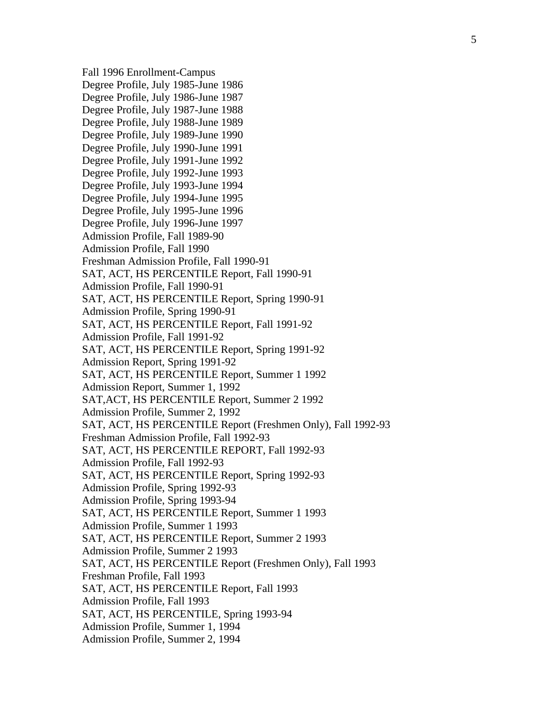Fall 1996 Enrollment-Campus Degree Profile, July 1985-June 1986 Degree Profile, July 1986-June 1987 Degree Profile, July 1987-June 1988 Degree Profile, July 1988-June 1989 Degree Profile, July 1989-June 1990 Degree Profile, July 1990-June 1991 Degree Profile, July 1991-June 1992 Degree Profile, July 1992-June 1993 Degree Profile, July 1993-June 1994 Degree Profile, July 1994-June 1995 Degree Profile, July 1995-June 1996 Degree Profile, July 1996-June 1997 Admission Profile, Fall 1989-90 Admission Profile, Fall 1990 Freshman Admission Profile, Fall 1990-91 SAT, ACT, HS PERCENTILE Report, Fall 1990-91 Admission Profile, Fall 1990-91 SAT, ACT, HS PERCENTILE Report, Spring 1990-91 Admission Profile, Spring 1990-91 SAT, ACT, HS PERCENTILE Report, Fall 1991-92 Admission Profile, Fall 1991-92 SAT, ACT, HS PERCENTILE Report, Spring 1991-92 Admission Report, Spring 1991-92 SAT, ACT, HS PERCENTILE Report, Summer 1 1992 Admission Report, Summer 1, 1992 SAT,ACT, HS PERCENTILE Report, Summer 2 1992 Admission Profile, Summer 2, 1992 SAT, ACT, HS PERCENTILE Report (Freshmen Only), Fall 1992-93 Freshman Admission Profile, Fall 1992-93 SAT, ACT, HS PERCENTILE REPORT, Fall 1992-93 Admission Profile, Fall 1992-93 SAT, ACT, HS PERCENTILE Report, Spring 1992-93 Admission Profile, Spring 1992-93 Admission Profile, Spring 1993-94 SAT, ACT, HS PERCENTILE Report, Summer 1 1993 Admission Profile, Summer 1 1993 SAT, ACT, HS PERCENTILE Report, Summer 2 1993 Admission Profile, Summer 2 1993 SAT, ACT, HS PERCENTILE Report (Freshmen Only), Fall 1993 Freshman Profile, Fall 1993 SAT, ACT, HS PERCENTILE Report, Fall 1993 Admission Profile, Fall 1993 SAT, ACT, HS PERCENTILE, Spring 1993-94 Admission Profile, Summer 1, 1994 Admission Profile, Summer 2, 1994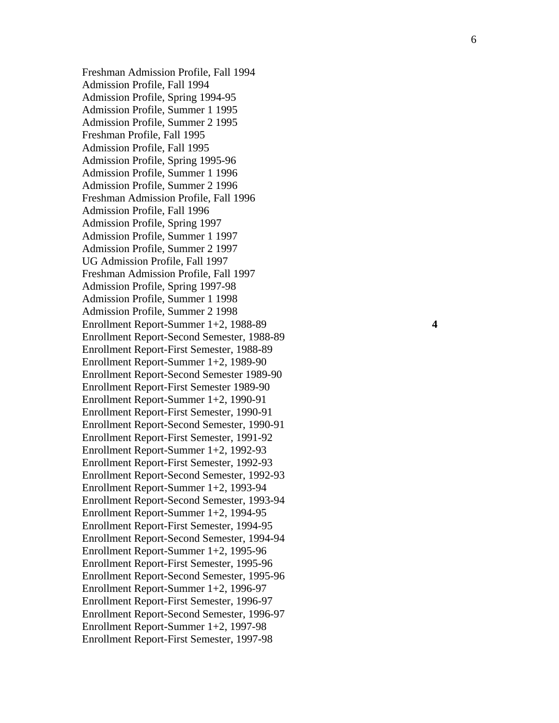Freshman Admission Profile, Fall 1994 Admission Profile, Fall 1994 Admission Profile, Spring 1994-95 Admission Profile, Summer 1 1995 Admission Profile, Summer 2 1995 Freshman Profile, Fall 1995 Admission Profile, Fall 1995 Admission Profile, Spring 1995-96 Admission Profile, Summer 1 1996 Admission Profile, Summer 2 1996 Freshman Admission Profile, Fall 1996 Admission Profile, Fall 1996 Admission Profile, Spring 1997 Admission Profile, Summer 1 1997 Admission Profile, Summer 2 1997 UG Admission Profile, Fall 1997 Freshman Admission Profile, Fall 1997 Admission Profile, Spring 1997-98 Admission Profile, Summer 1 1998 Admission Profile, Summer 2 1998 Enrollment Report-Summer 1+2, 1988-89 **4**  Enrollment Report-Second Semester, 1988-89 Enrollment Report-First Semester, 1988-89 Enrollment Report-Summer 1+2, 1989-90 Enrollment Report-Second Semester 1989-90 Enrollment Report-First Semester 1989-90 Enrollment Report-Summer 1+2, 1990-91 Enrollment Report-First Semester, 1990-91 Enrollment Report-Second Semester, 1990-91 Enrollment Report-First Semester, 1991-92 Enrollment Report-Summer 1+2, 1992-93 Enrollment Report-First Semester, 1992-93 Enrollment Report-Second Semester, 1992-93 Enrollment Report-Summer 1+2, 1993-94 Enrollment Report-Second Semester, 1993-94 Enrollment Report-Summer 1+2, 1994-95 Enrollment Report-First Semester, 1994-95 Enrollment Report-Second Semester, 1994-94 Enrollment Report-Summer 1+2, 1995-96 Enrollment Report-First Semester, 1995-96 Enrollment Report-Second Semester, 1995-96 Enrollment Report-Summer 1+2, 1996-97 Enrollment Report-First Semester, 1996-97 Enrollment Report-Second Semester, 1996-97 Enrollment Report-Summer 1+2, 1997-98 Enrollment Report-First Semester, 1997-98